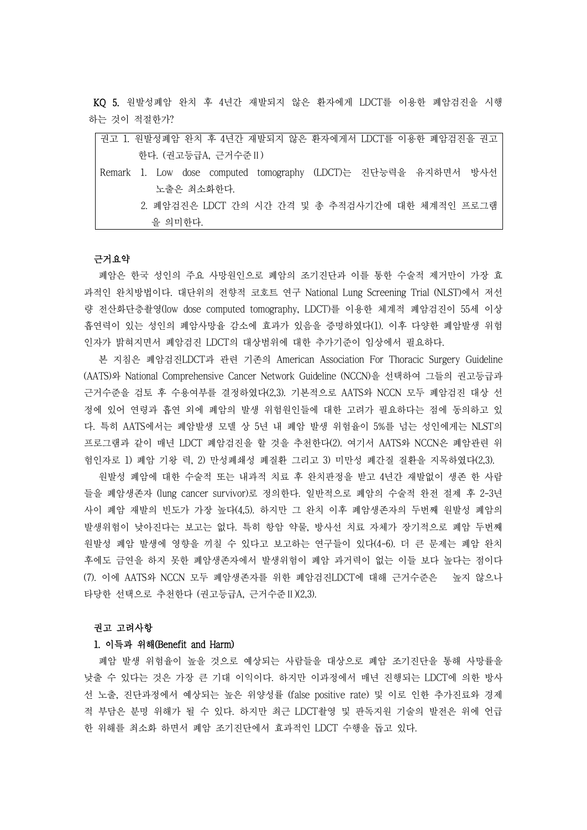KQ 5. 원발성폐암 완치 후 4년간 재발되지 않은 환자에게 LDCT를 이용한 폐암검진을 시행 하는 것이 적절한가?

| 권고 1. 원발성폐암 완치 후 4년간 재발되지 않은 환자에게서 LDCT를 이용한 폐암검진을 권고          |
|----------------------------------------------------------------|
| 한다. (권고등급A, 근거수준 II)                                           |
| Remark 1. Low dose computed tomography (LDCT)는 진단능력을 유지하면서 방사선 |
| 노출은 최소화한다.                                                     |
| 2. 폐암검진은 LDCT 간의 시간 간격 및 총 추적검사기간에 대한 체계적인 프로그램                |
| 을 의미한다.                                                        |
|                                                                |
| 근거요약                                                           |

폐암은 한국 성인의 주요 사망원인으로 폐암의 조기진단과 이를 통한 수술적 제거만이 가장 효 과적인 완치방법이다. 대단위의 전향적 코호트 연구 National Lung Screening Trial (NLST)에서 저선 량 전산화단층촬영(low dose computed tomography, LDCT)를 이용한 체계적 폐암검진이 55세 이상 흡연력이 있는 성인의 폐암사망율 감소에 효과가 있음을 증명하였다(1). 이후 다양한 폐암발생 위험 인자가 밝혀지면서 폐암검진 LDCT의 대상범위에 대한 추가기준이 임상에서 필요하다.

본 지침은 폐암검진LDCT과 관련 기존의 American Association For Thoracic Surgery Guideline (AATS)와 National Comprehensive Cancer Network Guideline (NCCN)을 선택하여 그들의 권고등급과 근거수준을 검토 후 수용여부를 결정하였다(2,3). 기본적으로 AATS와 NCCN 모두 폐암검진 대상 선 정에 있어 연령과 흡연 외에 폐암의 발생 위험원인들에 대한 고려가 필요하다는 점에 동의하고 있 다. 특히 AATS에서는 폐암발생 모델 상 5년 내 폐암 발생 위험율이 5%를 넘는 성인에게는 NLST의 프로그램과 같이 매년 LDCT 폐암검진을 할 것을 추천한다(2). 여기서 AATS와 NCCN은 폐암관련 위 험인자로 1) 폐암 기왕 력, 2) 만성폐쇄성 폐질환 그리고 3) 미만성 폐간질 질환을 지목하였다(2,3).

원발성 폐암에 대한 수술적 또는 내과적 치료 후 완치판정을 받고 4년간 재발없이 생존 한 사람 들을 폐암생존자 (lung cancer survivor)로 정의한다. 일반적으로 폐암의 수술적 완전 절제 후 2-3년 사이 폐암 재발의 빈도가 가장 높다(4,5). 하지만 그 완치 이후 폐암생존자의 두번째 원발성 폐암의 발생위험이 낮아진다는 보고는 없다. 특히 항암 약물, 방사선 치료 자체가 장기적으로 폐암 두번째 원발성 폐암 발생에 영향을 끼칠 수 있다고 보고하는 연구들이 있다(4-6). 더 큰 문제는 폐암 완치 후에도 금연을 하지 못한 폐암생존자에서 발생위험이 폐암 과거력이 없는 이들 보다 높다는 점이다 (7). 이에 AATS와 NCCN 모두 폐암생존자를 위한 폐암검진LDCT에 대해 근거수준은 높지 않으나 타당한 선택으로 추천한다 (권고등급A, 근거수준Ⅱ)(2,3).

#### 권고 고려사항

# 1. 이득과 위해(Benefit and Harm)

폐암 발생 위험율이 높을 것으로 예상되는 사람들을 대상으로 폐암 조기진단을 통해 사망률을 낮출 수 있다는 것은 가장 큰 기대 이익이다. 하지만 이과정에서 매년 진행되는 LDCT에 의한 방사 선 노출, 진단과정에서 예상되는 높은 위양성률 (false positive rate) 및 이로 인한 추가진료와 경제 적 부담은 분명 위해가 될 수 있다. 하지만 최근 LDCT촬영 및 판독지원 기술의 발전은 위에 언급 한 위해를 최소화 하면서 폐암 조기진단에서 효과적인 LDCT 수행을 돕고 있다.